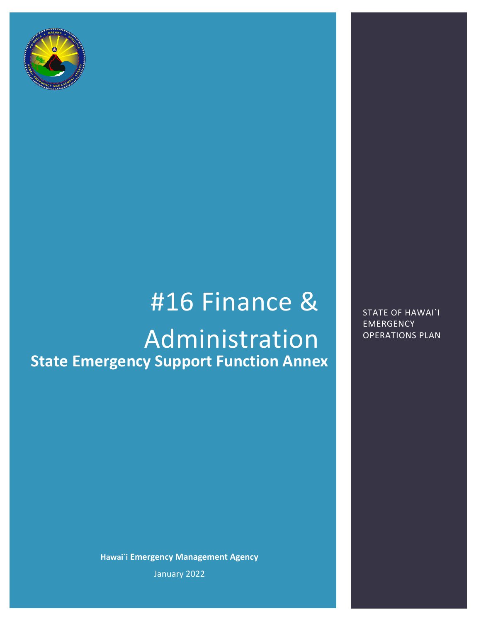

# #16 Finance &

## Administration **State Emergency Support Function Annex**

**Hawai`i Emergency Management Agency** January 2022

STATE OF HAWAI`I EMERGENCY OPERATIONS PLAN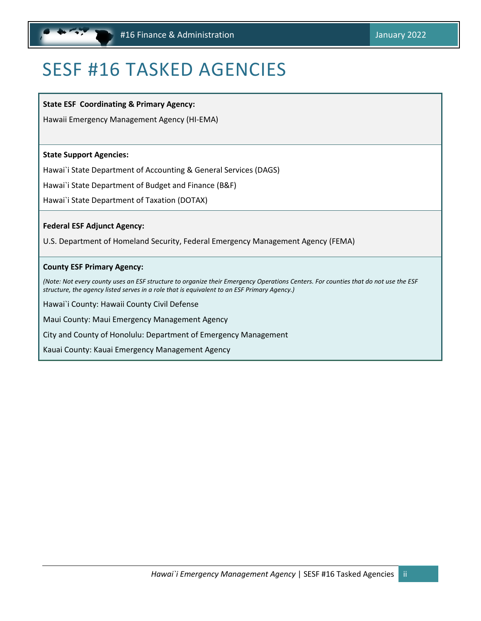## SESF #16 TASKED AGENCIES

**State ESF Coordinating & Primary Agency:** 

Hawaii Emergency Management Agency (HI-EMA)

#### **State Support Agencies:**

Hawai`i State Department of Accounting & General Services (DAGS)

Hawai`i State Department of Budget and Finance (B&F)

Hawai`i State Department of Taxation (DOTAX)

#### **Federal ESF Adjunct Agency:**

U.S. Department of Homeland Security, Federal Emergency Management Agency (FEMA)

#### **County ESF Primary Agency:**

*(Note: Not every county uses an ESF structure to organize their Emergency Operations Centers. For counties that do not use the ESF structure, the agency listed serves in a role that is equivalent to an ESF Primary Agency.)* 

Hawai`i County: Hawaii County Civil Defense

Maui County: Maui Emergency Management Agency

City and County of Honolulu: Department of Emergency Management

Kauai County: Kauai Emergency Management Agency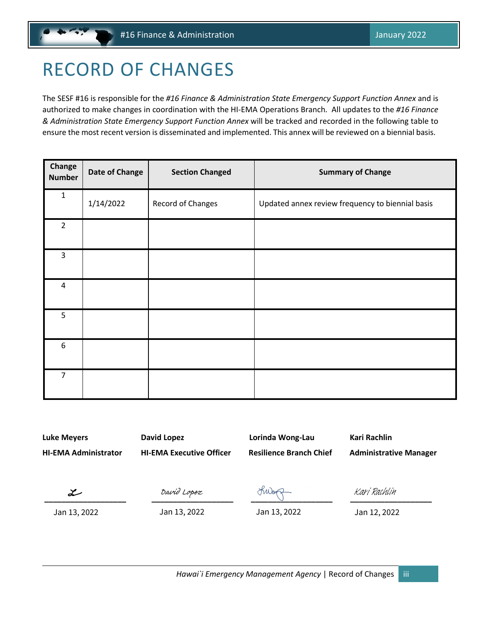## RECORD OF CHANGES

The SESF #16 is responsible for the *#16 Finance & Administration State Emergency Support Function Annex* and is authorized to make changes in coordination with the HI-EMA Operations Branch. All updates to the *#16 Finance & Administration State Emergency Support Function Annex* will be tracked and recorded in the following table to ensure the most recent version is disseminated and implemented. This annex will be reviewed on a biennial basis.

| Change<br><b>Number</b> | Date of Change | <b>Section Changed</b> | <b>Summary of Change</b>                         |
|-------------------------|----------------|------------------------|--------------------------------------------------|
| $\mathbf 1$             | 1/14/2022      | Record of Changes      | Updated annex review frequency to biennial basis |
| $\overline{2}$          |                |                        |                                                  |
| $\overline{3}$          |                |                        |                                                  |
| $\overline{4}$          |                |                        |                                                  |
| 5                       |                |                        |                                                  |
| 6                       |                |                        |                                                  |
| $\overline{7}$          |                |                        |                                                  |

| <b>Luke Meyers</b><br><b>HI-EMA Administrator</b> | David Lopez<br><b>HI-EMA Executive Officer</b> | Lorinda Wong-Lau<br><b>Resilience Branch Chief</b> | Kari Rachlin<br><b>Administrative Manager</b> |
|---------------------------------------------------|------------------------------------------------|----------------------------------------------------|-----------------------------------------------|
| L                                                 | David Lopez                                    | Sweep                                              | Kari Rachlin                                  |
| Jan 13, 2022                                      | Jan 13, 2022                                   | Jan 13, 2022                                       | Jan 12, 2022                                  |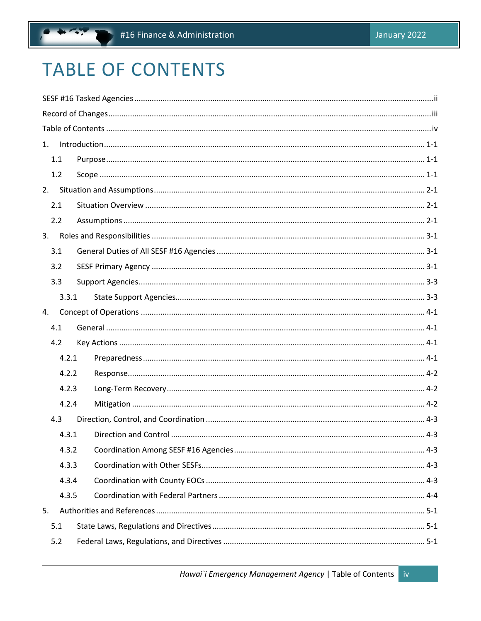## **TABLE OF CONTENTS**

 $\ddot{\phantom{a}}$ 

| 1. |       |  |  |
|----|-------|--|--|
|    | 1.1   |  |  |
|    | 1.2   |  |  |
| 2. |       |  |  |
|    | 2.1   |  |  |
|    | 2.2   |  |  |
| 3. |       |  |  |
|    | 3.1   |  |  |
|    | 3.2   |  |  |
|    | 3.3   |  |  |
|    | 3.3.1 |  |  |
| 4. |       |  |  |
|    | 4.1   |  |  |
|    | 4.2   |  |  |
|    | 4.2.1 |  |  |
|    | 4.2.2 |  |  |
|    | 4.2.3 |  |  |
|    | 4.2.4 |  |  |
|    | 4.3   |  |  |
|    | 4.3.1 |  |  |
|    | 4.3.2 |  |  |
|    | 4.3.3 |  |  |
|    | 4.3.4 |  |  |
|    | 4.3.5 |  |  |
| 5. |       |  |  |
|    | 5.1   |  |  |
|    | 5.2   |  |  |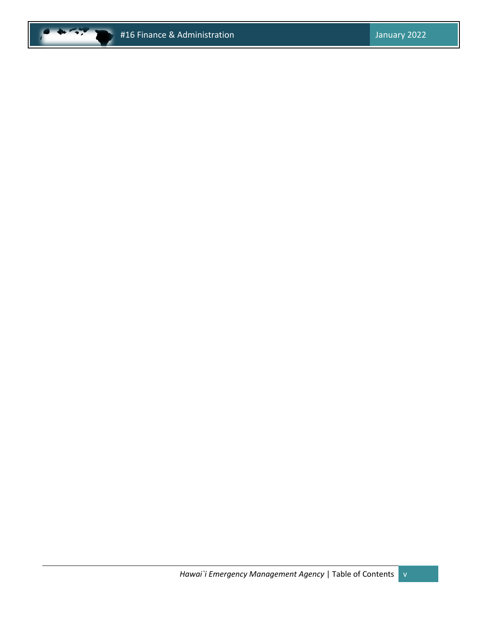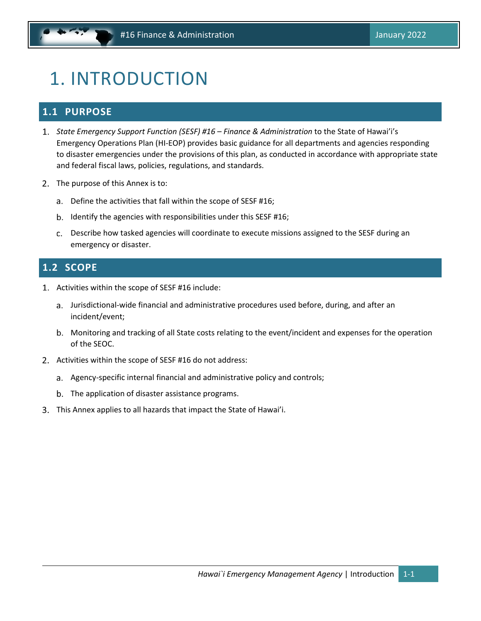## 1. INTRODUCTION

## **1.1 PURPOSE**

- *State Emergency Support Function (SESF) #16 – Finance & Administration* to the State of Hawai'i's Emergency Operations Plan (HI-EOP) provides basic guidance for all departments and agencies responding to disaster emergencies under the provisions of this plan, as conducted in accordance with appropriate state and federal fiscal laws, policies, regulations, and standards.
- 2. The purpose of this Annex is to:
	- a. Define the activities that fall within the scope of SESF #16;
	- b. Identify the agencies with responsibilities under this SESF #16;
	- Describe how tasked agencies will coordinate to execute missions assigned to the SESF during an emergency or disaster.

## **1.2 SCOPE**

- 1. Activities within the scope of SESF #16 include:
	- Jurisdictional-wide financial and administrative procedures used before, during, and after an incident/event;
	- Monitoring and tracking of all State costs relating to the event/incident and expenses for the operation of the SEOC.
- 2. Activities within the scope of SESF #16 do not address:
	- a. Agency-specific internal financial and administrative policy and controls;
	- b. The application of disaster assistance programs.
- This Annex applies to all hazards that impact the State of Hawai'i.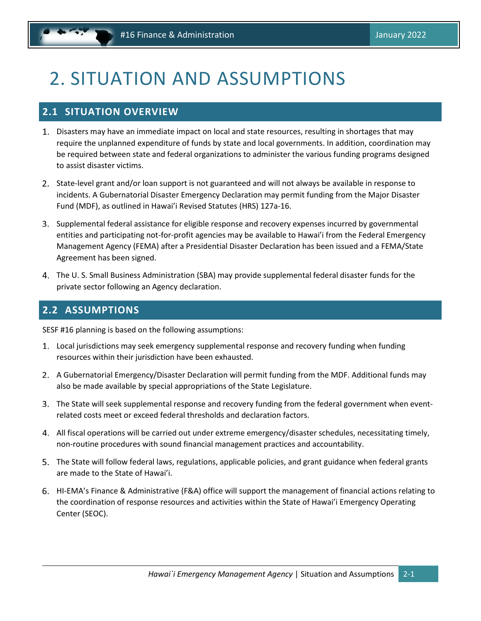## 2. SITUATION AND ASSUMPTIONS

### **2.1 SITUATION OVERVIEW**

- Disasters may have an immediate impact on local and state resources, resulting in shortages that may require the unplanned expenditure of funds by state and local governments. In addition, coordination may be required between state and federal organizations to administer the various funding programs designed to assist disaster victims.
- 2. State-level grant and/or loan support is not guaranteed and will not always be available in response to incidents. A Gubernatorial Disaster Emergency Declaration may permit funding from the Major Disaster Fund (MDF), as outlined in Hawai'i Revised Statutes (HRS) 127a-16.
- 3. Supplemental federal assistance for eligible response and recovery expenses incurred by governmental entities and participating not-for-profit agencies may be available to Hawai'i from the Federal Emergency Management Agency (FEMA) after a Presidential Disaster Declaration has been issued and a FEMA/State Agreement has been signed.
- The U. S. Small Business Administration (SBA) may provide supplemental federal disaster funds for the private sector following an Agency declaration.

### **2.2 ASSUMPTIONS**

SESF #16 planning is based on the following assumptions:

- 1. Local jurisdictions may seek emergency supplemental response and recovery funding when funding resources within their jurisdiction have been exhausted.
- A Gubernatorial Emergency/Disaster Declaration will permit funding from the MDF. Additional funds may also be made available by special appropriations of the State Legislature.
- The State will seek supplemental response and recovery funding from the federal government when eventrelated costs meet or exceed federal thresholds and declaration factors.
- All fiscal operations will be carried out under extreme emergency/disaster schedules, necessitating timely, non-routine procedures with sound financial management practices and accountability.
- The State will follow federal laws, regulations, applicable policies, and grant guidance when federal grants are made to the State of Hawai'i.
- HI-EMA's Finance & Administrative (F&A) office will support the management of financial actions relating to the coordination of response resources and activities within the State of Hawai'i Emergency Operating Center (SEOC).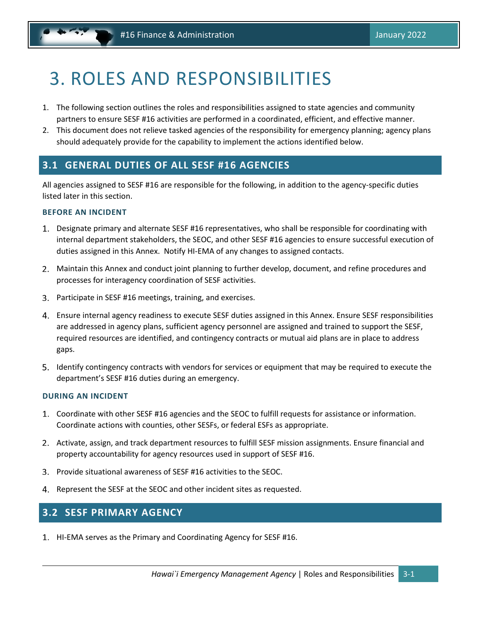## 3. ROLES AND RESPONSIBILITIES

- 1. The following section outlines the roles and responsibilities assigned to state agencies and community partners to ensure SESF #16 activities are performed in a coordinated, efficient, and effective manner.
- 2. This document does not relieve tasked agencies of the responsibility for emergency planning; agency plans should adequately provide for the capability to implement the actions identified below.

### **3.1 GENERAL DUTIES OF ALL SESF #16 AGENCIES**

All agencies assigned to SESF #16 are responsible for the following, in addition to the agency-specific duties listed later in this section.

#### **BEFORE AN INCIDENT**

- Designate primary and alternate SESF #16 representatives, who shall be responsible for coordinating with internal department stakeholders, the SEOC, and other SESF #16 agencies to ensure successful execution of duties assigned in this Annex. Notify HI-EMA of any changes to assigned contacts.
- Maintain this Annex and conduct joint planning to further develop, document, and refine procedures and processes for interagency coordination of SESF activities.
- Participate in SESF #16 meetings, training, and exercises.
- Ensure internal agency readiness to execute SESF duties assigned in this Annex. Ensure SESF responsibilities are addressed in agency plans, sufficient agency personnel are assigned and trained to support the SESF, required resources are identified, and contingency contracts or mutual aid plans are in place to address gaps.
- Identify contingency contracts with vendors for services or equipment that may be required to execute the department's SESF #16 duties during an emergency.

#### **DURING AN INCIDENT**

- Coordinate with other SESF #16 agencies and the SEOC to fulfill requests for assistance or information. Coordinate actions with counties, other SESFs, or federal ESFs as appropriate.
- 2. Activate, assign, and track department resources to fulfill SESF mission assignments. Ensure financial and property accountability for agency resources used in support of SESF #16.
- Provide situational awareness of SESF #16 activities to the SEOC.
- 4. Represent the SESF at the SEOC and other incident sites as requested.

### **3.2 SESF PRIMARY AGENCY**

1. HI-EMA serves as the Primary and Coordinating Agency for SESF #16.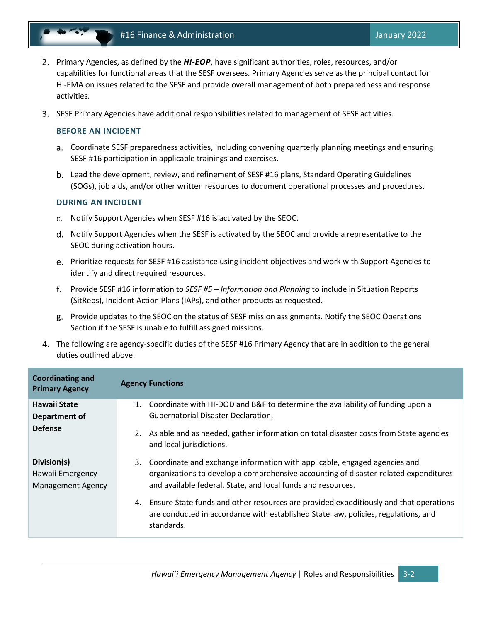- Primary Agencies, as defined by the *HI-EOP*, have significant authorities, roles, resources, and/or capabilities for functional areas that the SESF oversees. Primary Agencies serve as the principal contact for HI-EMA on issues related to the SESF and provide overall management of both preparedness and response activities.
- SESF Primary Agencies have additional responsibilities related to management of SESF activities.

#### **BEFORE AN INCIDENT**

- Coordinate SESF preparedness activities, including convening quarterly planning meetings and ensuring SESF #16 participation in applicable trainings and exercises.
- b. Lead the development, review, and refinement of SESF #16 plans, Standard Operating Guidelines (SOGs), job aids, and/or other written resources to document operational processes and procedures.

#### **DURING AN INCIDENT**

- Notify Support Agencies when SESF #16 is activated by the SEOC.
- d. Notify Support Agencies when the SESF is activated by the SEOC and provide a representative to the SEOC during activation hours.
- Prioritize requests for SESF #16 assistance using incident objectives and work with Support Agencies to identify and direct required resources.
- Provide SESF #16 information to *SESF #5 – Information and Planning* to include in Situation Reports (SitReps), Incident Action Plans (IAPs), and other products as requested.
- Provide updates to the SEOC on the status of SESF mission assignments. Notify the SEOC Operations Section if the SESF is unable to fulfill assigned missions.
- The following are agency-specific duties of the SESF #16 Primary Agency that are in addition to the general duties outlined above.

| <b>Coordinating and</b><br><b>Primary Agency</b>            | <b>Agency Functions</b>                                                                                                                                                                                                                 |
|-------------------------------------------------------------|-----------------------------------------------------------------------------------------------------------------------------------------------------------------------------------------------------------------------------------------|
| Hawaii State<br>Department of                               | 1. Coordinate with HI-DOD and B&F to determine the availability of funding upon a<br><b>Gubernatorial Disaster Declaration.</b>                                                                                                         |
| <b>Defense</b>                                              | 2. As able and as needed, gather information on total disaster costs from State agencies<br>and local jurisdictions.                                                                                                                    |
| Division(s)<br>Hawaii Emergency<br><b>Management Agency</b> | Coordinate and exchange information with applicable, engaged agencies and<br>3.<br>organizations to develop a comprehensive accounting of disaster-related expenditures<br>and available federal, State, and local funds and resources. |
|                                                             | 4. Ensure State funds and other resources are provided expeditiously and that operations<br>are conducted in accordance with established State law, policies, regulations, and<br>standards.                                            |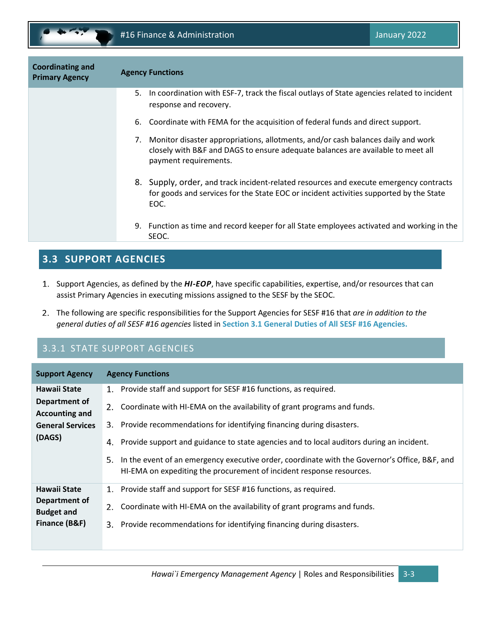| <b>Coordinating and</b><br><b>Primary Agency</b> | <b>Agency Functions</b>                                                                                                                                                                            |
|--------------------------------------------------|----------------------------------------------------------------------------------------------------------------------------------------------------------------------------------------------------|
|                                                  | In coordination with ESF-7, track the fiscal outlays of State agencies related to incident<br>5.<br>response and recovery.                                                                         |
|                                                  | Coordinate with FEMA for the acquisition of federal funds and direct support.<br>6.                                                                                                                |
|                                                  | Monitor disaster appropriations, allotments, and/or cash balances daily and work<br>7.<br>closely with B&F and DAGS to ensure adequate balances are available to meet all<br>payment requirements. |
|                                                  | 8. Supply, order, and track incident-related resources and execute emergency contracts<br>for goods and services for the State EOC or incident activities supported by the State<br>EOC.           |
|                                                  | 9. Function as time and record keeper for all State employees activated and working in the<br>SEOC.                                                                                                |

## **3.3 SUPPORT AGENCIES**

- 1. Support Agencies, as defined by the HI-EOP, have specific capabilities, expertise, and/or resources that can assist Primary Agencies in executing missions assigned to the SESF by the SEOC.
- The following are specific responsibilities for the Support Agencies for SESF #16 that *are in addition to the general duties of all SESF #16 agencies* listed in **Section 3.1 General Duties of All SESF #16 Agencies.**

## 3.3.1 STATE SUPPORT AGENCIES

| <b>Support Agency</b>              | <b>Agency Functions</b>                                                                                                                                                  |
|------------------------------------|--------------------------------------------------------------------------------------------------------------------------------------------------------------------------|
| Hawaii State                       | 1. Provide staff and support for SESF #16 functions, as required.                                                                                                        |
| Department of                      | 2. Coordinate with HI-EMA on the availability of grant programs and funds.                                                                                               |
| <b>Accounting and</b>              |                                                                                                                                                                          |
| <b>General Services</b>            | 3. Provide recommendations for identifying financing during disasters.                                                                                                   |
| (DAGS)                             | 4. Provide support and guidance to state agencies and to local auditors during an incident.                                                                              |
|                                    | 5. In the event of an emergency executive order, coordinate with the Governor's Office, B&F, and<br>HI-EMA on expediting the procurement of incident response resources. |
| Hawaii State                       | 1. Provide staff and support for SESF #16 functions, as required.                                                                                                        |
| Department of<br><b>Budget and</b> | 2. Coordinate with HI-EMA on the availability of grant programs and funds.                                                                                               |
| Finance (B&F)                      | 3. Provide recommendations for identifying financing during disasters.                                                                                                   |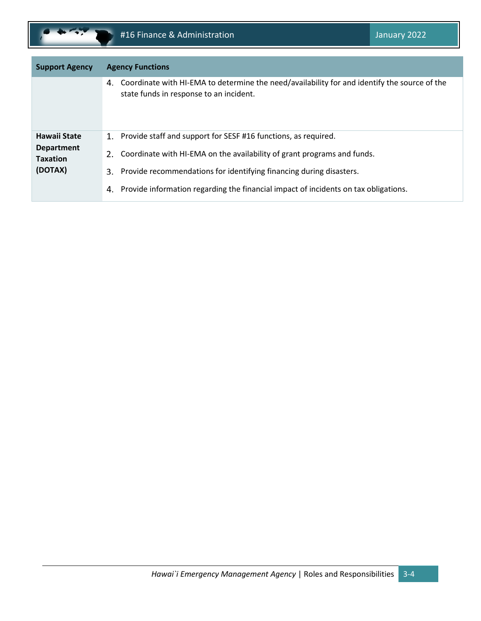

| <b>Support Agency</b>                | <b>Agency Functions</b> |                                                                                                                                         |
|--------------------------------------|-------------------------|-----------------------------------------------------------------------------------------------------------------------------------------|
|                                      | 4.                      | Coordinate with HI-EMA to determine the need/availability for and identify the source of the<br>state funds in response to an incident. |
| Hawaii State                         |                         | 1. Provide staff and support for SESF #16 functions, as required.                                                                       |
| <b>Department</b><br><b>Taxation</b> |                         | 2. Coordinate with HI-EMA on the availability of grant programs and funds.                                                              |
| (DOTAX)                              |                         | 3. Provide recommendations for identifying financing during disasters.                                                                  |
|                                      | 4.                      | Provide information regarding the financial impact of incidents on tax obligations.                                                     |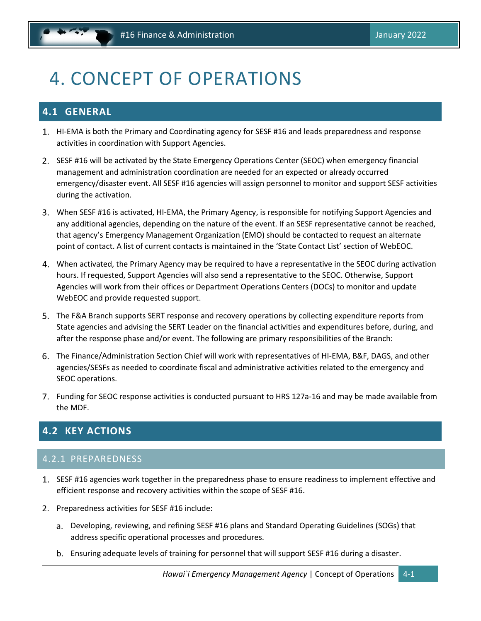## 4. CONCEPT OF OPERATIONS

## **4.1 GENERAL**

- 1. HI-EMA is both the Primary and Coordinating agency for SESF #16 and leads preparedness and response activities in coordination with Support Agencies.
- 2. SESF #16 will be activated by the State Emergency Operations Center (SEOC) when emergency financial management and administration coordination are needed for an expected or already occurred emergency/disaster event. All SESF #16 agencies will assign personnel to monitor and support SESF activities during the activation.
- When SESF #16 is activated, HI-EMA, the Primary Agency, is responsible for notifying Support Agencies and any additional agencies, depending on the nature of the event. If an SESF representative cannot be reached, that agency's Emergency Management Organization (EMO) should be contacted to request an alternate point of contact. A list of current contacts is maintained in the 'State Contact List' section of WebEOC.
- When activated, the Primary Agency may be required to have a representative in the SEOC during activation hours. If requested, Support Agencies will also send a representative to the SEOC. Otherwise, Support Agencies will work from their offices or Department Operations Centers (DOCs) to monitor and update WebEOC and provide requested support.
- The F&A Branch supports SERT response and recovery operations by collecting expenditure reports from State agencies and advising the SERT Leader on the financial activities and expenditures before, during, and after the response phase and/or event. The following are primary responsibilities of the Branch:
- The Finance/Administration Section Chief will work with representatives of HI-EMA, B&F, DAGS, and other agencies/SESFs as needed to coordinate fiscal and administrative activities related to the emergency and SEOC operations.
- 7. Funding for SEOC response activities is conducted pursuant to HRS 127a-16 and may be made available from the MDF.

## **4.2 KEY ACTIONS**

### 4.2.1 PREPAREDNESS

- 1. SESF #16 agencies work together in the preparedness phase to ensure readiness to implement effective and efficient response and recovery activities within the scope of SESF #16.
- 2. Preparedness activities for SESF #16 include:
	- Developing, reviewing, and refining SESF #16 plans and Standard Operating Guidelines (SOGs) that address specific operational processes and procedures.
	- Ensuring adequate levels of training for personnel that will support SESF #16 during a disaster.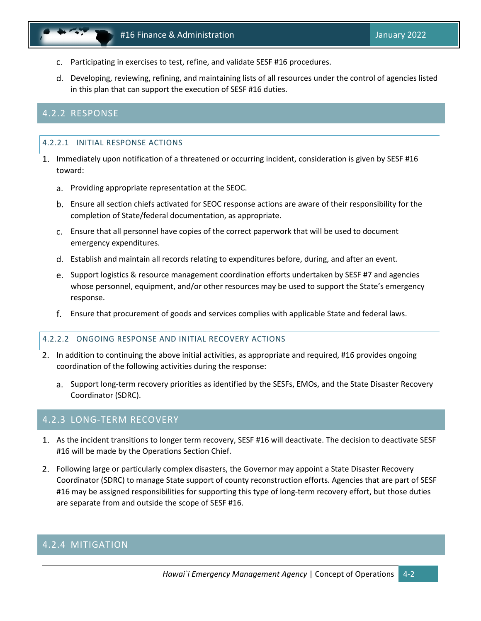- Participating in exercises to test, refine, and validate SESF #16 procedures.
- Developing, reviewing, refining, and maintaining lists of all resources under the control of agencies listed in this plan that can support the execution of SESF #16 duties.

#### 4.2.2 RESPONSE

#### 4.2.2.1 INITIAL RESPONSE ACTIONS

- 1. Immediately upon notification of a threatened or occurring incident, consideration is given by SESF #16 toward:
	- a. Providing appropriate representation at the SEOC.
	- Ensure all section chiefs activated for SEOC response actions are aware of their responsibility for the completion of State/federal documentation, as appropriate.
	- Ensure that all personnel have copies of the correct paperwork that will be used to document emergency expenditures.
	- Establish and maintain all records relating to expenditures before, during, and after an event.
	- e. Support logistics & resource management coordination efforts undertaken by SESF #7 and agencies whose personnel, equipment, and/or other resources may be used to support the State's emergency response.
	- Ensure that procurement of goods and services complies with applicable State and federal laws.

#### 4.2.2.2 ONGOING RESPONSE AND INITIAL RECOVERY ACTIONS

- 2. In addition to continuing the above initial activities, as appropriate and required, #16 provides ongoing coordination of the following activities during the response:
	- a. Support long-term recovery priorities as identified by the SESFs, EMOs, and the State Disaster Recovery Coordinator (SDRC).

#### 4.2.3 LONG-TERM RECOVERY

- As the incident transitions to longer term recovery, SESF #16 will deactivate. The decision to deactivate SESF #16 will be made by the Operations Section Chief.
- Following large or particularly complex disasters, the Governor may appoint a State Disaster Recovery Coordinator (SDRC) to manage State support of county reconstruction efforts. Agencies that are part of SESF #16 may be assigned responsibilities for supporting this type of long-term recovery effort, but those duties are separate from and outside the scope of SESF #16.

#### 4.2.4 MITIGATION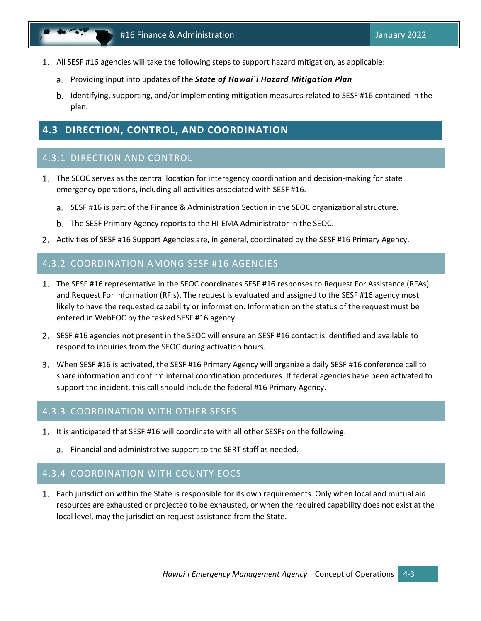- All SESF #16 agencies will take the following steps to support hazard mitigation, as applicable:
	- Providing input into updates of the *State of Hawai`i Hazard Mitigation Plan*
	- b. Identifying, supporting, and/or implementing mitigation measures related to SESF #16 contained in the plan.

### **4.3 DIRECTION, CONTROL, AND COORDINATION**

#### 4.3.1 DIRECTION AND CONTROL

- The SEOC serves as the central location for interagency coordination and decision-making for state emergency operations, including all activities associated with SESF #16.
	- a. SESF #16 is part of the Finance & Administration Section in the SEOC organizational structure.
	- The SESF Primary Agency reports to the HI-EMA Administrator in the SEOC.
- 2. Activities of SESF #16 Support Agencies are, in general, coordinated by the SESF #16 Primary Agency.

#### 4.3.2 COORDINATION AMONG SESF #16 AGENCIES

- The SESF #16 representative in the SEOC coordinates SESF #16 responses to Request For Assistance (RFAs) and Request For Information (RFIs). The request is evaluated and assigned to the SESF #16 agency most likely to have the requested capability or information. Information on the status of the request must be entered in WebEOC by the tasked SESF #16 agency.
- 2. SESF #16 agencies not present in the SEOC will ensure an SESF #16 contact is identified and available to respond to inquiries from the SEOC during activation hours.
- When SESF #16 is activated, the SESF #16 Primary Agency will organize a daily SESF #16 conference call to share information and confirm internal coordination procedures. If federal agencies have been activated to support the incident, this call should include the federal #16 Primary Agency.

#### 4.3.3 COORDINATION WITH OTHER SESFS

- 1. It is anticipated that SESF #16 will coordinate with all other SESFs on the following:
	- a. Financial and administrative support to the SERT staff as needed.

#### 4.3.4 COORDINATION WITH COUNTY EOCS

Each jurisdiction within the State is responsible for its own requirements. Only when local and mutual aid resources are exhausted or projected to be exhausted, or when the required capability does not exist at the local level, may the jurisdiction request assistance from the State.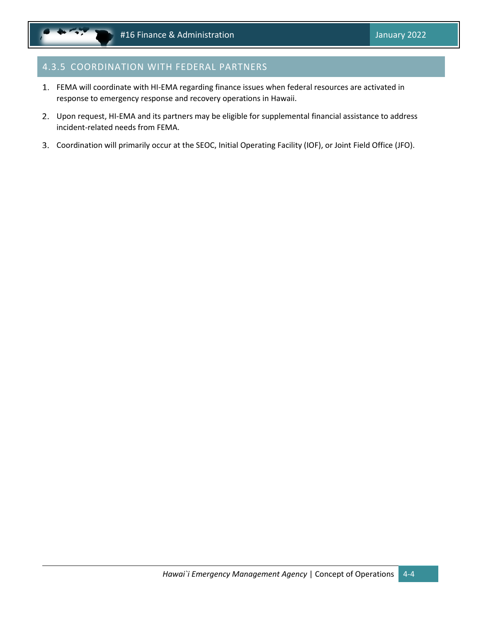### 4.3.5 COORDINATION WITH FEDERAL PARTNERS

- FEMA will coordinate with HI-EMA regarding finance issues when federal resources are activated in response to emergency response and recovery operations in Hawaii.
- Upon request, HI-EMA and its partners may be eligible for supplemental financial assistance to address incident-related needs from FEMA.
- Coordination will primarily occur at the SEOC, Initial Operating Facility (IOF), or Joint Field Office (JFO).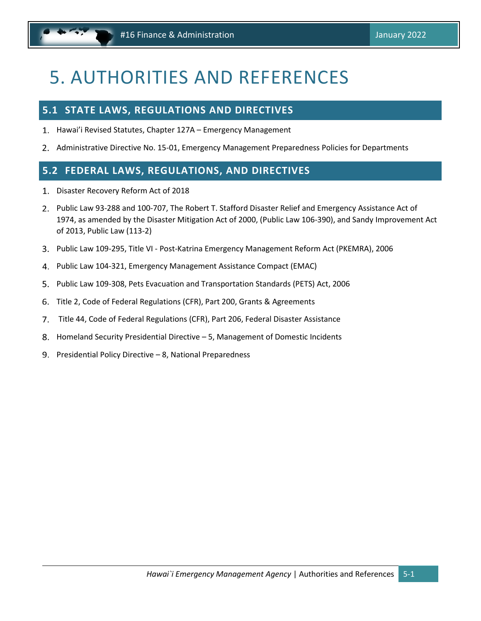## 5. AUTHORITIES AND REFERENCES

### **5.1 STATE LAWS, REGULATIONS AND DIRECTIVES**

- 1. Hawai'i Revised Statutes, Chapter 127A Emergency Management
- 2. Administrative Directive No. 15-01, Emergency Management Preparedness Policies for Departments

## **5.2 FEDERAL LAWS, REGULATIONS, AND DIRECTIVES**

- 1. Disaster Recovery Reform Act of 2018
- Public Law 93-288 and 100-707, The Robert T. Stafford Disaster Relief and Emergency Assistance Act of 1974, as amended by the Disaster Mitigation Act of 2000, (Public Law 106-390), and Sandy Improvement Act of 2013, Public Law (113-2)
- Public Law 109-295, Title VI Post-Katrina Emergency Management Reform Act (PKEMRA), 2006
- Public Law 104-321, Emergency Management Assistance Compact (EMAC)
- Public Law 109-308, Pets Evacuation and Transportation Standards (PETS) Act, 2006
- Title 2, Code of Federal Regulations (CFR), Part 200, Grants & Agreements
- 7. Title 44, Code of Federal Regulations (CFR), Part 206, Federal Disaster Assistance
- 8. Homeland Security Presidential Directive – 5, Management of Domestic Incidents
- 9. Presidential Policy Directive 8, National Preparedness